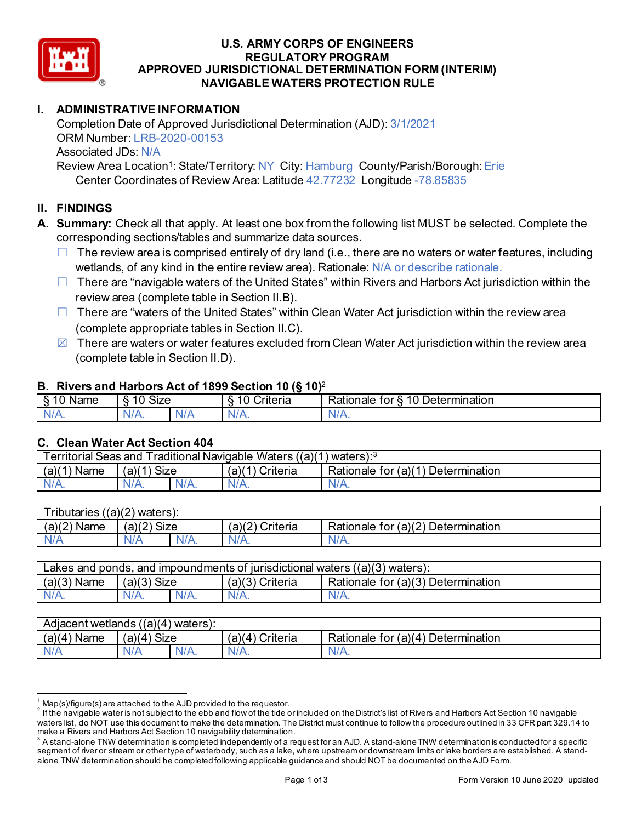

### **U.S. ARMY CORPS OF ENGINEERS REGULATORY PROGRAM APPROVED JURISDICTIONAL DETERMINATION FORM (INTERIM) NAVIGABLE WATERS PROTECTION RULE**

# **I. ADMINISTRATIVE INFORMATION**

Completion Date of Approved Jurisdictional Determination (AJD): 3/1/2021 ORM Number: LRB-2020-00153 Associated JDs: N/A Review Area Location<sup>1</sup>: State/Territory: NY City: Hamburg County/Parish/Borough: Erie

Center Coordinates of Review Area: Latitude 42.77232 Longitude -78.85835

# **II. FINDINGS**

- **A. Summary:** Check all that apply. At least one box from the following list MUST be selected. Complete the corresponding sections/tables and summarize data sources.
	- $\Box$  The review area is comprised entirely of dry land (i.e., there are no waters or water features, including wetlands, of any kind in the entire review area). Rationale: N/A or describe rationale.
	- $\Box$  There are "navigable waters of the United States" within Rivers and Harbors Act jurisdiction within the review area (complete table in Section II.B).
	- $\Box$  There are "waters of the United States" within Clean Water Act jurisdiction within the review area (complete appropriate tables in Section II.C).
	- $\boxtimes$  There are waters or water features excluded from Clean Water Act jurisdiction within the review area (complete table in Section II.D).

#### **B. Rivers and Harbors Act of 1899 Section 10 (§ 10)**<sup>2</sup>

| $\cdot$         |                                    |     |                                          |                                                          |  |
|-----------------|------------------------------------|-----|------------------------------------------|----------------------------------------------------------|--|
| Name<br>-<br>., | $\ddot{\phantom{1}}$<br>10<br>SIZE |     | 10<br>- -<br>r<br>`rıtarın.<br>∼<br>lena | 10<br>-<br>_<br><b>Determination</b><br>ror<br>kationale |  |
| N/f<br>. .      | $N/A$ .                            | xı. | ND<br>.                                  | N<br>11 I N.                                             |  |

# **C. Clean Water Act Section 404**

| <b>Territorial Seas and</b><br>Traditional Navigable Waters $((a)(1)$ waters): $3$ |                |         |                    |                                         |  |
|------------------------------------------------------------------------------------|----------------|---------|--------------------|-----------------------------------------|--|
| (a)(1)<br>Name                                                                     | Size<br>(a)(1) |         | (a)(1)<br>Criteria | Determination<br>Rationale for $(a)(1)$ |  |
| $N/A$ .                                                                            | $N/A$ .        | $N/A$ . | $N/A$ .            | N/A.                                    |  |

| $T$ ributaries<br>((a)(2)<br>waters). |             |         |                    |                                                         |  |  |
|---------------------------------------|-------------|---------|--------------------|---------------------------------------------------------|--|--|
| (a)(2)<br>Name                        | (a)(2) Size |         | (a)(2)<br>Criteria | for (a)(2) $\overline{ }$<br>Determination<br>Rationale |  |  |
| N/A                                   | A\V         | $N/A$ . | $N/A$ .            | N/A.                                                    |  |  |

| Lakes and ponds, and impoundments of jurisdictional waters $((a)(3)$ waters): |               |         |                 |                                    |  |  |
|-------------------------------------------------------------------------------|---------------|---------|-----------------|------------------------------------|--|--|
| $(a)(3)$ Name                                                                 | $(a)(3)$ Size |         | (a)(3) Criteria | Rationale for (a)(3) Determination |  |  |
| $N/A$ .                                                                       | $N/A$ .       | $N/A$ . | $N/A$ .         | N/A.                               |  |  |

| Adjacent wetlands ((a)(4) waters): |                      |         |                                    |                                         |  |  |
|------------------------------------|----------------------|---------|------------------------------------|-----------------------------------------|--|--|
| (a)(4)<br>Name                     | <b>Size</b><br>'a)(4 |         | Criteria<br>(a)(<br>$\overline{4}$ | Determination<br>Rationale for $(a)(4)$ |  |  |
| N/A                                | N/A                  | $N/A$ . | $N/A$ .                            | N/A.                                    |  |  |

 $^1$  Map(s)/figure(s) are attached to the AJD provided to the requestor.<br><sup>2</sup> If the navigable water is not subject to the ebb and flow of the tide or included on the District's list of Rivers and Harbors Act Section 10 na waters list, do NOT use this document to make the determination. The District must continue to follow the procedure outlined in 33 CFR part 329.14 to make a Rivers and Harbors Act Section 10 navigability determination.

 $^3$  A stand-alone TNW determination is completed independently of a request for an AJD. A stand-alone TNW determination is conducted for a specific segment of river or stream or other type of waterbody, such as a lake, where upstream or downstream limits or lake borders are established. A standalone TNW determination should be completed following applicable guidance and should NOT be documented on the AJD Form.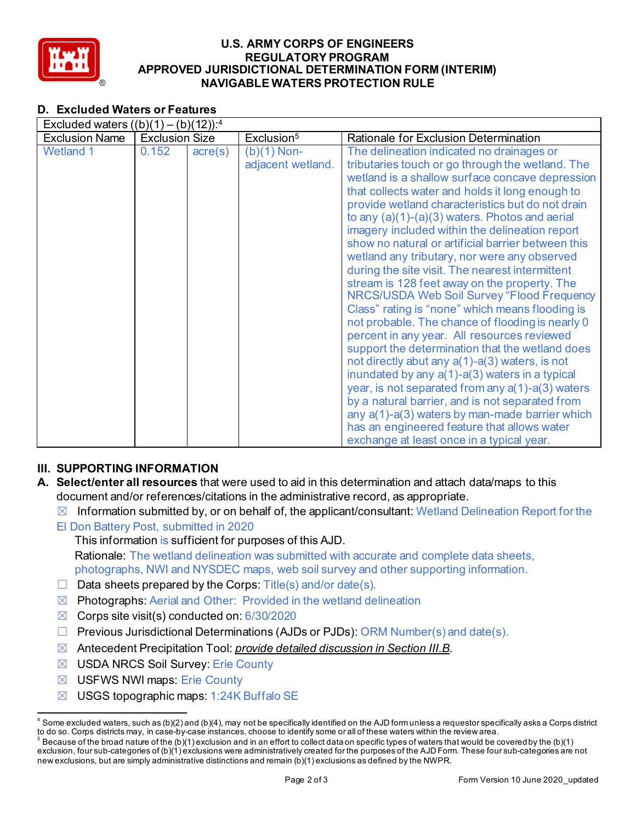

### **U.S. ARMY CORPS OF ENGINEERS REGULATORY PROGRAM APPROVED JURISDICTIONAL DETERMINATION FORM (INTERIM) NAVIGABLE WATERS PROTECTION RULE**

# **D. Excluded Waters or Features**

| Excluded waters $((b)(1) - (b)(12))$ : <sup>4</sup> |                       |                  |                                               |                                                                                                                                                                                                                                                                                                                                                                                                                                                                                                                                                                                                                                                                                                                                                                                                                                                                                                                                                                                                                                                                                                                                                                                                    |  |  |
|-----------------------------------------------------|-----------------------|------------------|-----------------------------------------------|----------------------------------------------------------------------------------------------------------------------------------------------------------------------------------------------------------------------------------------------------------------------------------------------------------------------------------------------------------------------------------------------------------------------------------------------------------------------------------------------------------------------------------------------------------------------------------------------------------------------------------------------------------------------------------------------------------------------------------------------------------------------------------------------------------------------------------------------------------------------------------------------------------------------------------------------------------------------------------------------------------------------------------------------------------------------------------------------------------------------------------------------------------------------------------------------------|--|--|
| <b>Exclusion Name</b>                               | <b>Exclusion Size</b> |                  | Exclusion <sup>5</sup>                        | Rationale for Exclusion Determination                                                                                                                                                                                                                                                                                                                                                                                                                                                                                                                                                                                                                                                                                                                                                                                                                                                                                                                                                                                                                                                                                                                                                              |  |  |
| <b>Wetland 1</b>                                    | 0.152                 | $\text{acre}(s)$ | $\overline{(b)}(1)$ Non-<br>adjacent wetland. | The delineation indicated no drainages or<br>tributaries touch or go through the wetland. The<br>wetland is a shallow surface concave depression<br>that collects water and holds it long enough to<br>provide wetland characteristics but do not drain<br>to any $(a)(1)-(a)(3)$ waters. Photos and aerial<br>imagery included within the delineation report<br>show no natural or artificial barrier between this<br>wetland any tributary, nor were any observed<br>during the site visit. The nearest intermittent<br>stream is 128 feet away on the property. The<br>NRCS/USDA Web Soil Survey "Flood Frequency<br>Class" rating is "none" which means flooding is<br>not probable. The chance of flooding is nearly 0<br>percent in any year. All resources reviewed<br>support the determination that the wetland does<br>not directly abut any $a(1)$ -a(3) waters, is not<br>inundated by any a(1)-a(3) waters in a typical<br>year, is not separated from any $a(1)$ -a(3) waters<br>by a natural barrier, and is not separated from<br>any $a(1)$ - $a(3)$ waters by man-made barrier which<br>has an engineered feature that allows water<br>exchange at least once in a typical year. |  |  |

# **III. SUPPORTING INFORMATION**

- **A. Select/enter all resources** that were used to aid in this determination and attach data/maps to this document and/or references/citations in the administrative record, as appropriate.
	- $\boxtimes$  Information submitted by, or on behalf of, the applicant/consultant: Wetland Delineation Report for the
	- El Don Battery Post, submitted in 2020

This information is sufficient for purposes of this AJD. Rationale: The wetland delineation was submitted with accurate and complete data sheets, photographs, NWI and NYSDEC maps, web soil survey and other supporting information.

- $\Box$  Data sheets prepared by the Corps: Title(s) and/or date(s).
- $\boxtimes$  Photographs: Aerial and Other: Provided in the wetland delineation
- $\boxtimes$  Corps site visit(s) conducted on: 6/30/2020
- $\Box$  Previous Jurisdictional Determinations (AJDs or PJDs): ORM Number(s) and date(s).
- ☒ Antecedent Precipitation Tool: *provide detailed discussion in Section III.B*.
- ☒ USDA NRCS Soil Survey: Erie County
- ☒ USFWS NWI maps: Erie County
- $\boxtimes$  USGS topographic maps: 1:24K Buffalo SE

 $4$  Some excluded waters, such as (b)(2) and (b)(4), may not be specifically identified on the AJD form unless a requestor specifically asks a Corps district to do so. Corps districts may, in case-by-case instances, choose to identify some or all of these waters within the review area.

 $^5$  Because of the broad nature of the (b)(1) exclusion and in an effort to collect data on specific types of waters that would be covered by the (b)(1) exclusion, four sub-categories of (b)(1) exclusions were administratively created for the purposes of the AJD Form. These four sub-categories are not new exclusions, but are simply administrative distinctions and remain (b)(1) exclusions as defined by the NWPR.